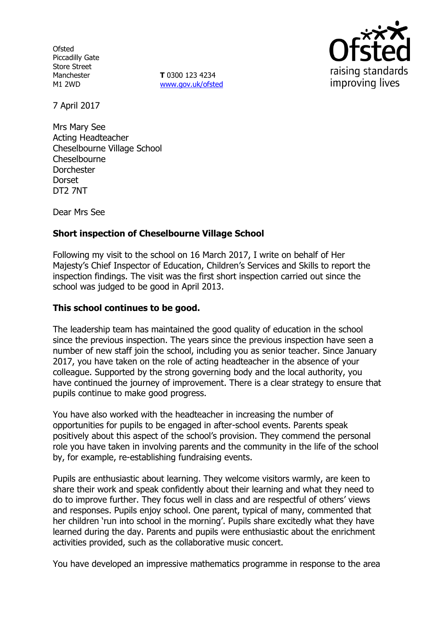**Ofsted** Piccadilly Gate Store Street Manchester M1 2WD

**T** 0300 123 4234 www.gov.uk/ofsted



7 April 2017

Mrs Mary See Acting Headteacher Cheselbourne Village School Cheselbourne Dorchester Dorset DT2 7NT

Dear Mrs See

## **Short inspection of Cheselbourne Village School**

Following my visit to the school on 16 March 2017, I write on behalf of Her Majesty's Chief Inspector of Education, Children's Services and Skills to report the inspection findings. The visit was the first short inspection carried out since the school was judged to be good in April 2013.

### **This school continues to be good.**

The leadership team has maintained the good quality of education in the school since the previous inspection. The years since the previous inspection have seen a number of new staff join the school, including you as senior teacher. Since January 2017, you have taken on the role of acting headteacher in the absence of your colleague. Supported by the strong governing body and the local authority, you have continued the journey of improvement. There is a clear strategy to ensure that pupils continue to make good progress.

You have also worked with the headteacher in increasing the number of opportunities for pupils to be engaged in after-school events. Parents speak positively about this aspect of the school's provision. They commend the personal role you have taken in involving parents and the community in the life of the school by, for example, re-establishing fundraising events.

Pupils are enthusiastic about learning. They welcome visitors warmly, are keen to share their work and speak confidently about their learning and what they need to do to improve further. They focus well in class and are respectful of others' views and responses. Pupils enjoy school. One parent, typical of many, commented that her children 'run into school in the morning'. Pupils share excitedly what they have learned during the day. Parents and pupils were enthusiastic about the enrichment activities provided, such as the collaborative music concert.

You have developed an impressive mathematics programme in response to the area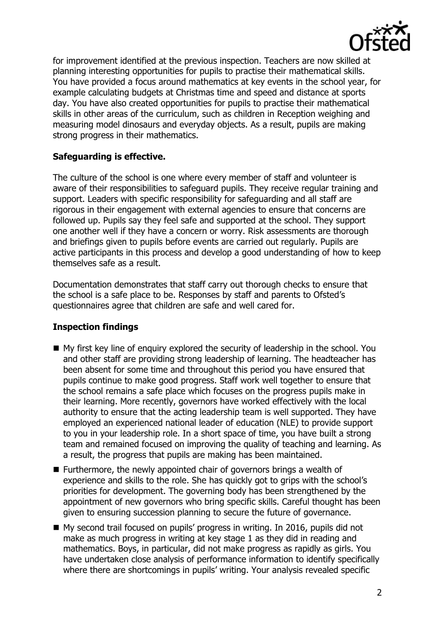

for improvement identified at the previous inspection. Teachers are now skilled at planning interesting opportunities for pupils to practise their mathematical skills. You have provided a focus around mathematics at key events in the school year, for example calculating budgets at Christmas time and speed and distance at sports day. You have also created opportunities for pupils to practise their mathematical skills in other areas of the curriculum, such as children in Reception weighing and measuring model dinosaurs and everyday objects. As a result, pupils are making strong progress in their mathematics.

## **Safeguarding is effective.**

The culture of the school is one where every member of staff and volunteer is aware of their responsibilities to safeguard pupils. They receive regular training and support. Leaders with specific responsibility for safeguarding and all staff are rigorous in their engagement with external agencies to ensure that concerns are followed up. Pupils say they feel safe and supported at the school. They support one another well if they have a concern or worry. Risk assessments are thorough and briefings given to pupils before events are carried out regularly. Pupils are active participants in this process and develop a good understanding of how to keep themselves safe as a result.

Documentation demonstrates that staff carry out thorough checks to ensure that the school is a safe place to be. Responses by staff and parents to Ofsted's questionnaires agree that children are safe and well cared for.

# **Inspection findings**

- My first key line of enquiry explored the security of leadership in the school. You and other staff are providing strong leadership of learning. The headteacher has been absent for some time and throughout this period you have ensured that pupils continue to make good progress. Staff work well together to ensure that the school remains a safe place which focuses on the progress pupils make in their learning. More recently, governors have worked effectively with the local authority to ensure that the acting leadership team is well supported. They have employed an experienced national leader of education (NLE) to provide support to you in your leadership role. In a short space of time, you have built a strong team and remained focused on improving the quality of teaching and learning. As a result, the progress that pupils are making has been maintained.
- Furthermore, the newly appointed chair of governors brings a wealth of experience and skills to the role. She has quickly got to grips with the school's priorities for development. The governing body has been strengthened by the appointment of new governors who bring specific skills. Careful thought has been given to ensuring succession planning to secure the future of governance.
- My second trail focused on pupils' progress in writing. In 2016, pupils did not make as much progress in writing at key stage 1 as they did in reading and mathematics. Boys, in particular, did not make progress as rapidly as girls. You have undertaken close analysis of performance information to identify specifically where there are shortcomings in pupils' writing. Your analysis revealed specific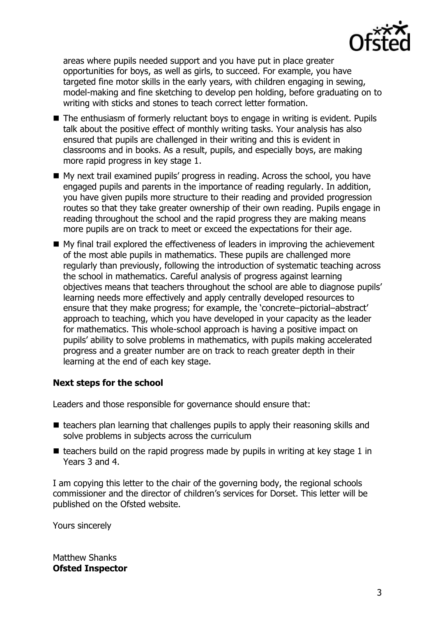

areas where pupils needed support and you have put in place greater opportunities for boys, as well as girls, to succeed. For example, you have targeted fine motor skills in the early years, with children engaging in sewing, model-making and fine sketching to develop pen holding, before graduating on to writing with sticks and stones to teach correct letter formation.

- The enthusiasm of formerly reluctant boys to engage in writing is evident. Pupils talk about the positive effect of monthly writing tasks. Your analysis has also ensured that pupils are challenged in their writing and this is evident in classrooms and in books. As a result, pupils, and especially boys, are making more rapid progress in key stage 1.
- My next trail examined pupils' progress in reading. Across the school, you have engaged pupils and parents in the importance of reading regularly. In addition, you have given pupils more structure to their reading and provided progression routes so that they take greater ownership of their own reading. Pupils engage in reading throughout the school and the rapid progress they are making means more pupils are on track to meet or exceed the expectations for their age.
- My final trail explored the effectiveness of leaders in improving the achievement of the most able pupils in mathematics. These pupils are challenged more regularly than previously, following the introduction of systematic teaching across the school in mathematics. Careful analysis of progress against learning objectives means that teachers throughout the school are able to diagnose pupils' learning needs more effectively and apply centrally developed resources to ensure that they make progress; for example, the 'concrete–pictorial–abstract' approach to teaching, which you have developed in your capacity as the leader for mathematics. This whole-school approach is having a positive impact on pupils' ability to solve problems in mathematics, with pupils making accelerated progress and a greater number are on track to reach greater depth in their learning at the end of each key stage.

# **Next steps for the school**

Leaders and those responsible for governance should ensure that:

- $\blacksquare$  teachers plan learning that challenges pupils to apply their reasoning skills and solve problems in subjects across the curriculum
- $\blacksquare$  teachers build on the rapid progress made by pupils in writing at key stage 1 in Years 3 and 4.

I am copying this letter to the chair of the governing body, the regional schools commissioner and the director of children's services for Dorset. This letter will be published on the Ofsted website.

Yours sincerely

Matthew Shanks **Ofsted Inspector**